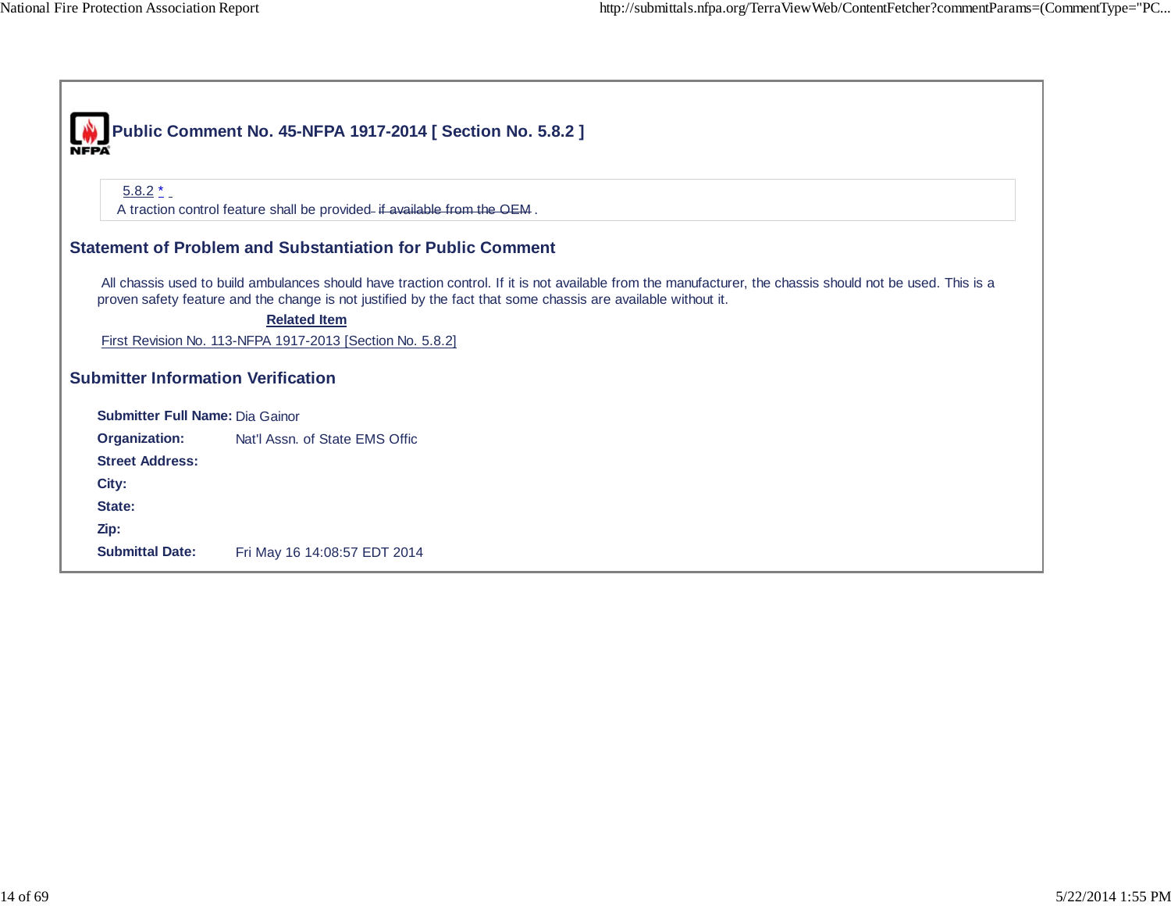|                                           | Public Comment No. 45-NFPA 1917-2014 [ Section No. 5.8.2 ]                                                                                                                                                                                                                  |  |  |
|-------------------------------------------|-----------------------------------------------------------------------------------------------------------------------------------------------------------------------------------------------------------------------------------------------------------------------------|--|--|
|                                           |                                                                                                                                                                                                                                                                             |  |  |
|                                           |                                                                                                                                                                                                                                                                             |  |  |
| $5.8.2 \pm 0.001$                         |                                                                                                                                                                                                                                                                             |  |  |
|                                           | A traction control feature shall be provided- if available from the OEM.                                                                                                                                                                                                    |  |  |
|                                           | <b>Statement of Problem and Substantiation for Public Comment</b>                                                                                                                                                                                                           |  |  |
|                                           | All chassis used to build ambulances should have traction control. If it is not available from the manufacturer, the chassis should not be used. This is a<br>proven safety feature and the change is not justified by the fact that some chassis are available without it. |  |  |
|                                           | <b>Related Item</b>                                                                                                                                                                                                                                                         |  |  |
|                                           | First Revision No. 113-NFPA 1917-2013 [Section No. 5.8.2]                                                                                                                                                                                                                   |  |  |
| <b>Submitter Information Verification</b> |                                                                                                                                                                                                                                                                             |  |  |
|                                           |                                                                                                                                                                                                                                                                             |  |  |
| <b>Submitter Full Name: Dia Gainor</b>    |                                                                                                                                                                                                                                                                             |  |  |
| <b>Organization:</b>                      | Nat'l Assn. of State EMS Offic                                                                                                                                                                                                                                              |  |  |
| <b>Street Address:</b>                    |                                                                                                                                                                                                                                                                             |  |  |
| City:                                     |                                                                                                                                                                                                                                                                             |  |  |
| State:                                    |                                                                                                                                                                                                                                                                             |  |  |
| Zip:                                      |                                                                                                                                                                                                                                                                             |  |  |
| <b>Submittal Date:</b>                    | Fri May 16 14:08:57 EDT 2014                                                                                                                                                                                                                                                |  |  |
|                                           |                                                                                                                                                                                                                                                                             |  |  |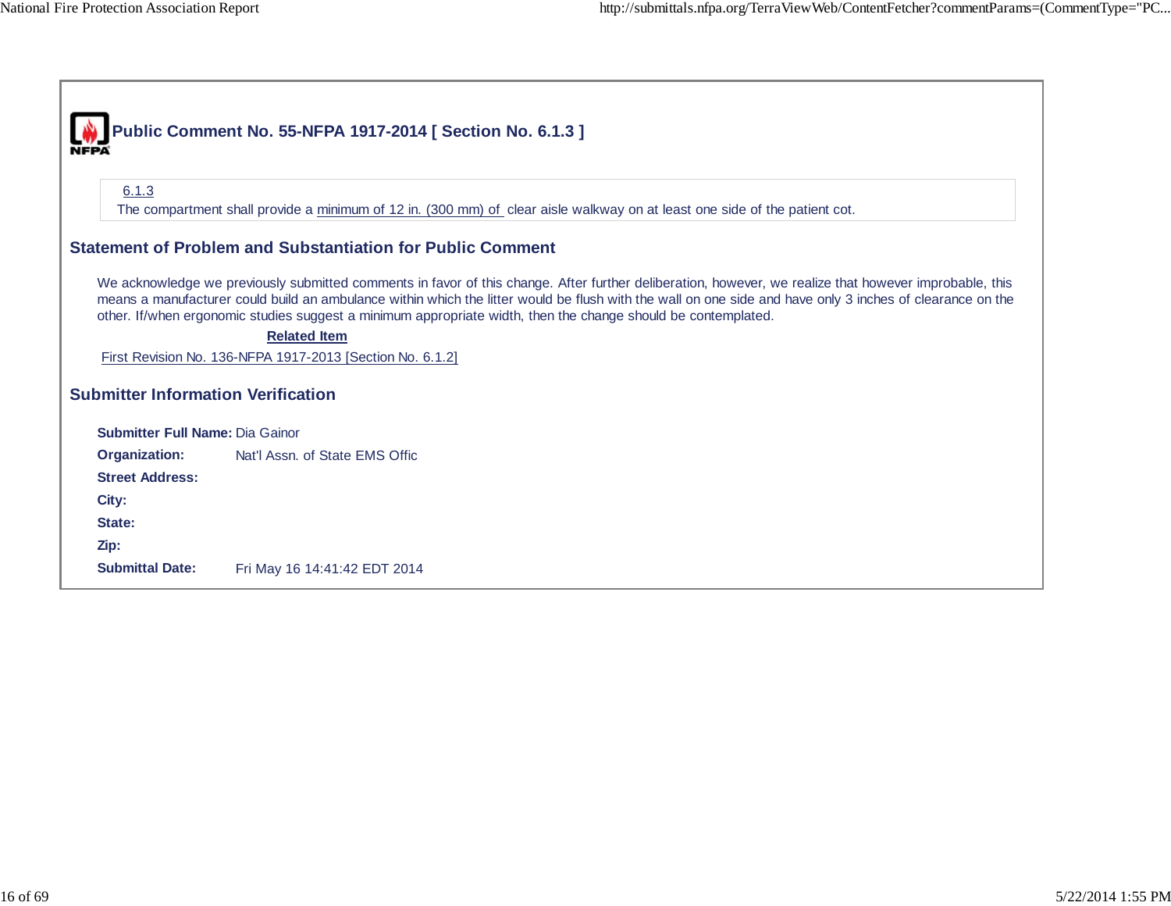$\Gamma$ 

┓

|                                           | Public Comment No. 55-NFPA 1917-2014 [ Section No. 6.1.3 ]                                                                                                                                                                                                                                                                                                                                                                           |  |
|-------------------------------------------|--------------------------------------------------------------------------------------------------------------------------------------------------------------------------------------------------------------------------------------------------------------------------------------------------------------------------------------------------------------------------------------------------------------------------------------|--|
|                                           |                                                                                                                                                                                                                                                                                                                                                                                                                                      |  |
| 6.1.3                                     |                                                                                                                                                                                                                                                                                                                                                                                                                                      |  |
|                                           | The compartment shall provide a minimum of 12 in. (300 mm) of clear aisle walkway on at least one side of the patient cot.                                                                                                                                                                                                                                                                                                           |  |
|                                           | <b>Statement of Problem and Substantiation for Public Comment</b>                                                                                                                                                                                                                                                                                                                                                                    |  |
|                                           | We acknowledge we previously submitted comments in favor of this change. After further deliberation, however, we realize that however improbable, this<br>means a manufacturer could build an ambulance within which the litter would be flush with the wall on one side and have only 3 inches of clearance on the<br>other. If/when ergonomic studies suggest a minimum appropriate width, then the change should be contemplated. |  |
|                                           | <b>Related Item</b>                                                                                                                                                                                                                                                                                                                                                                                                                  |  |
|                                           | First Revision No. 136-NFPA 1917-2013 [Section No. 6.1.2]                                                                                                                                                                                                                                                                                                                                                                            |  |
| <b>Submitter Information Verification</b> |                                                                                                                                                                                                                                                                                                                                                                                                                                      |  |
| <b>Submitter Full Name: Dia Gainor</b>    |                                                                                                                                                                                                                                                                                                                                                                                                                                      |  |
| Organization:                             | Nat'l Assn. of State EMS Offic                                                                                                                                                                                                                                                                                                                                                                                                       |  |
| <b>Street Address:</b>                    |                                                                                                                                                                                                                                                                                                                                                                                                                                      |  |
| City:                                     |                                                                                                                                                                                                                                                                                                                                                                                                                                      |  |
| State:                                    |                                                                                                                                                                                                                                                                                                                                                                                                                                      |  |
| Zip:                                      |                                                                                                                                                                                                                                                                                                                                                                                                                                      |  |
| <b>Submittal Date:</b>                    | Fri May 16 14:41:42 EDT 2014                                                                                                                                                                                                                                                                                                                                                                                                         |  |
|                                           |                                                                                                                                                                                                                                                                                                                                                                                                                                      |  |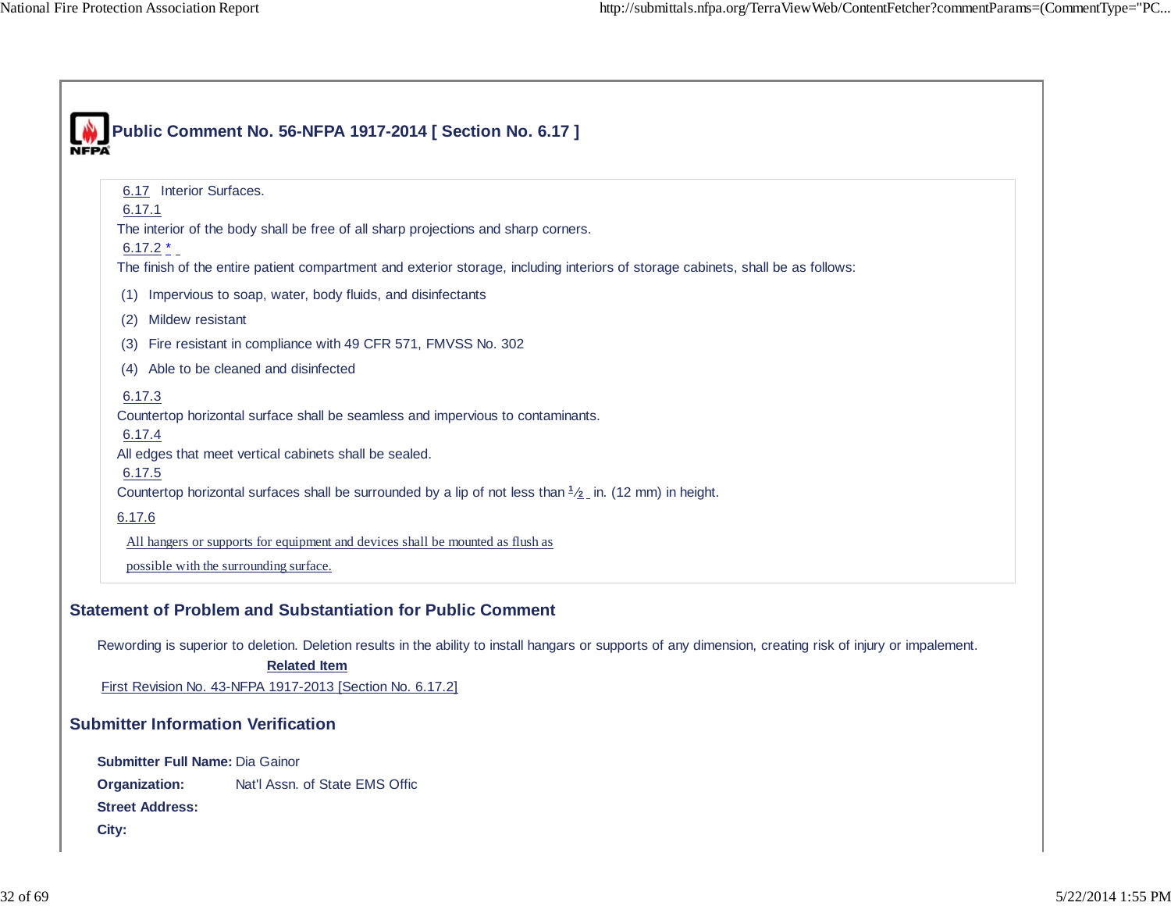|                                           | Public Comment No. 56-NFPA 1917-2014 [ Section No. 6.17 ]                                                                                                  |
|-------------------------------------------|------------------------------------------------------------------------------------------------------------------------------------------------------------|
|                                           |                                                                                                                                                            |
| 6.17 Interior Surfaces.                   |                                                                                                                                                            |
| 6.17.1                                    |                                                                                                                                                            |
| $6.17.2*$                                 | The interior of the body shall be free of all sharp projections and sharp corners.                                                                         |
|                                           | The finish of the entire patient compartment and exterior storage, including interiors of storage cabinets, shall be as follows:                           |
| (1)                                       | Impervious to soap, water, body fluids, and disinfectants                                                                                                  |
| Mildew resistant<br>(2)                   |                                                                                                                                                            |
| (3)                                       | Fire resistant in compliance with 49 CFR 571, FMVSS No. 302                                                                                                |
| (4) Able to be cleaned and disinfected    |                                                                                                                                                            |
| 6.17.3                                    |                                                                                                                                                            |
|                                           | Countertop horizontal surface shall be seamless and impervious to contaminants.                                                                            |
| 6.17.4                                    | All edges that meet vertical cabinets shall be sealed.                                                                                                     |
| 6.17.5                                    |                                                                                                                                                            |
|                                           | Countertop horizontal surfaces shall be surrounded by a lip of not less than $\frac{1}{2}$ in. (12 mm) in height.                                          |
| 6.17.6                                    |                                                                                                                                                            |
|                                           | All hangers or supports for equipment and devices shall be mounted as flush as                                                                             |
| possible with the surrounding surface.    |                                                                                                                                                            |
|                                           |                                                                                                                                                            |
|                                           | <b>Statement of Problem and Substantiation for Public Comment</b>                                                                                          |
|                                           | Rewording is superior to deletion. Deletion results in the ability to install hangars or supports of any dimension, creating risk of injury or impalement. |
|                                           | <b>Related Item</b>                                                                                                                                        |
|                                           | First Revision No. 43-NFPA 1917-2013 [Section No. 6.17.2]                                                                                                  |
| <b>Submitter Information Verification</b> |                                                                                                                                                            |
| Submitter Full Name: Dia Gainor           |                                                                                                                                                            |
| Organization:                             | Nat'l Assn. of State EMS Offic                                                                                                                             |
| <b>Street Address:</b>                    |                                                                                                                                                            |
| City:                                     |                                                                                                                                                            |
|                                           |                                                                                                                                                            |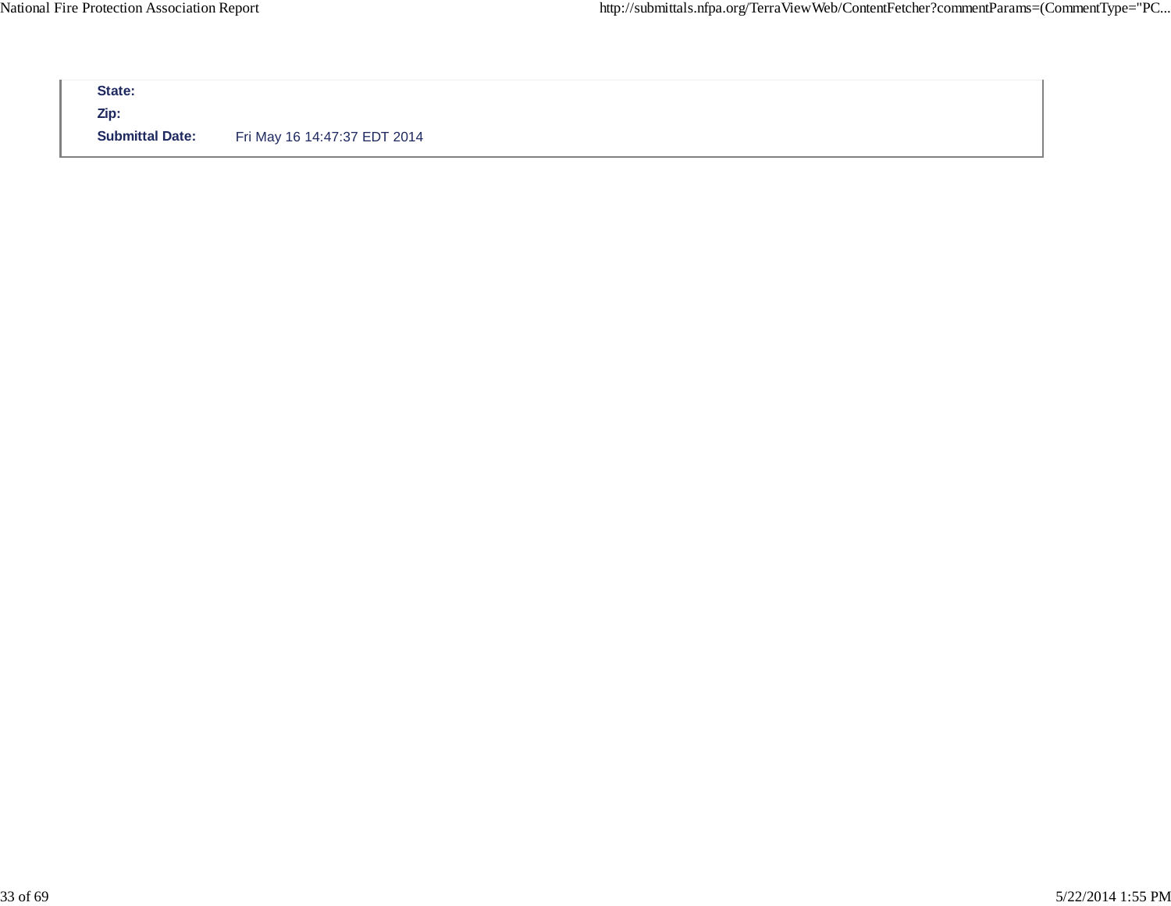| <b>Submittal Date:</b> | Fri May 16 14:47:37 EDT 2014 |  |
|------------------------|------------------------------|--|
|                        |                              |  |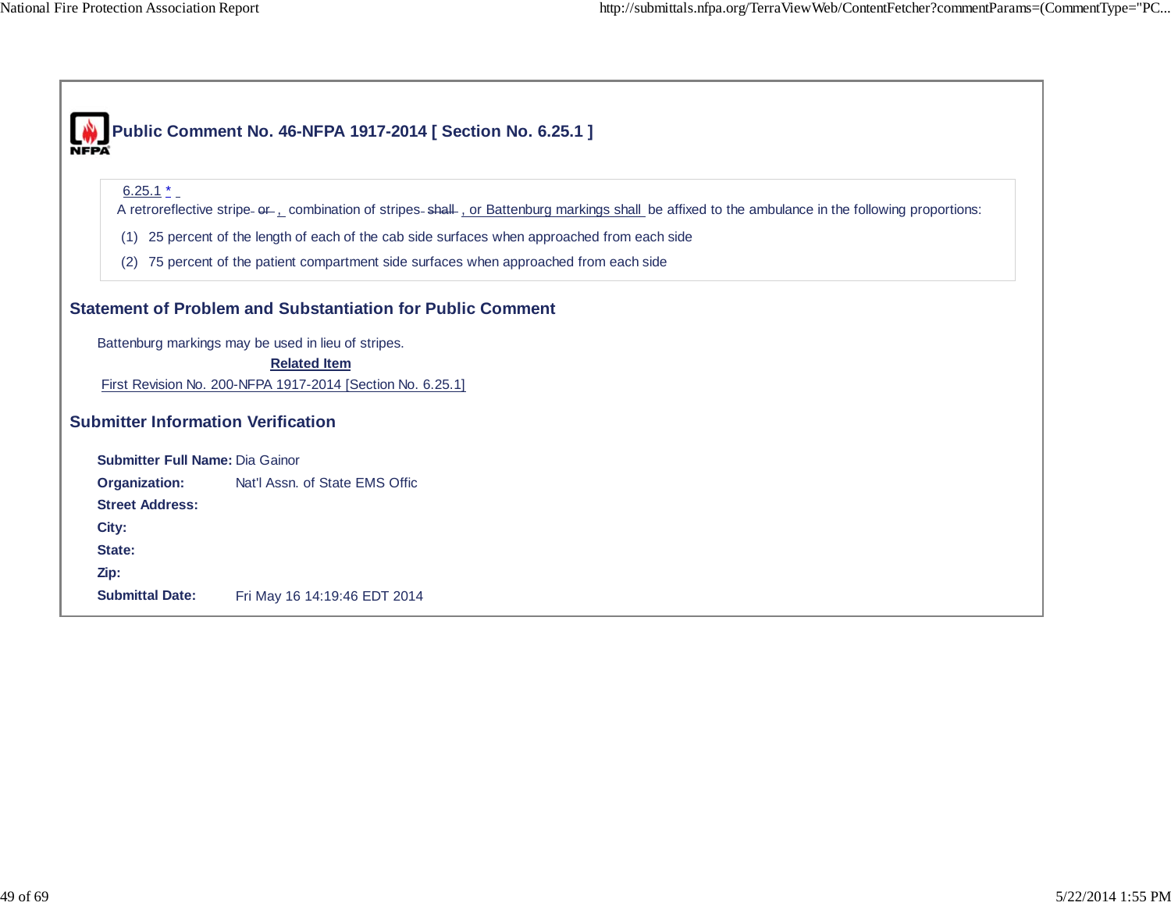ı

ı

|                                           | Public Comment No. 46-NFPA 1917-2014 [ Section No. 6.25.1 ]                                                                                                                    |  |  |
|-------------------------------------------|--------------------------------------------------------------------------------------------------------------------------------------------------------------------------------|--|--|
| $6.25.1*$                                 | A retroreflective stripe- of  combination of stripes-shall  or Battenburg markings shall be affixed to the ambulance in the following proportions:                             |  |  |
| (1)                                       |                                                                                                                                                                                |  |  |
| (2)                                       | 25 percent of the length of each of the cab side surfaces when approached from each side<br>75 percent of the patient compartment side surfaces when approached from each side |  |  |
|                                           | Statement of Problem and Substantiation for Public Comment                                                                                                                     |  |  |
|                                           | Battenburg markings may be used in lieu of stripes.                                                                                                                            |  |  |
|                                           | <b>Related Item</b>                                                                                                                                                            |  |  |
|                                           | First Revision No. 200-NFPA 1917-2014 [Section No. 6.25.1]                                                                                                                     |  |  |
| <b>Submitter Information Verification</b> |                                                                                                                                                                                |  |  |
| <b>Submitter Full Name: Dia Gainor</b>    |                                                                                                                                                                                |  |  |
| Organization:                             | Nat'l Assn. of State EMS Offic                                                                                                                                                 |  |  |
| <b>Street Address:</b>                    |                                                                                                                                                                                |  |  |
| City:                                     |                                                                                                                                                                                |  |  |
| State:                                    |                                                                                                                                                                                |  |  |
| Zip:                                      |                                                                                                                                                                                |  |  |
| <b>Submittal Date:</b>                    | Fri May 16 14:19:46 EDT 2014                                                                                                                                                   |  |  |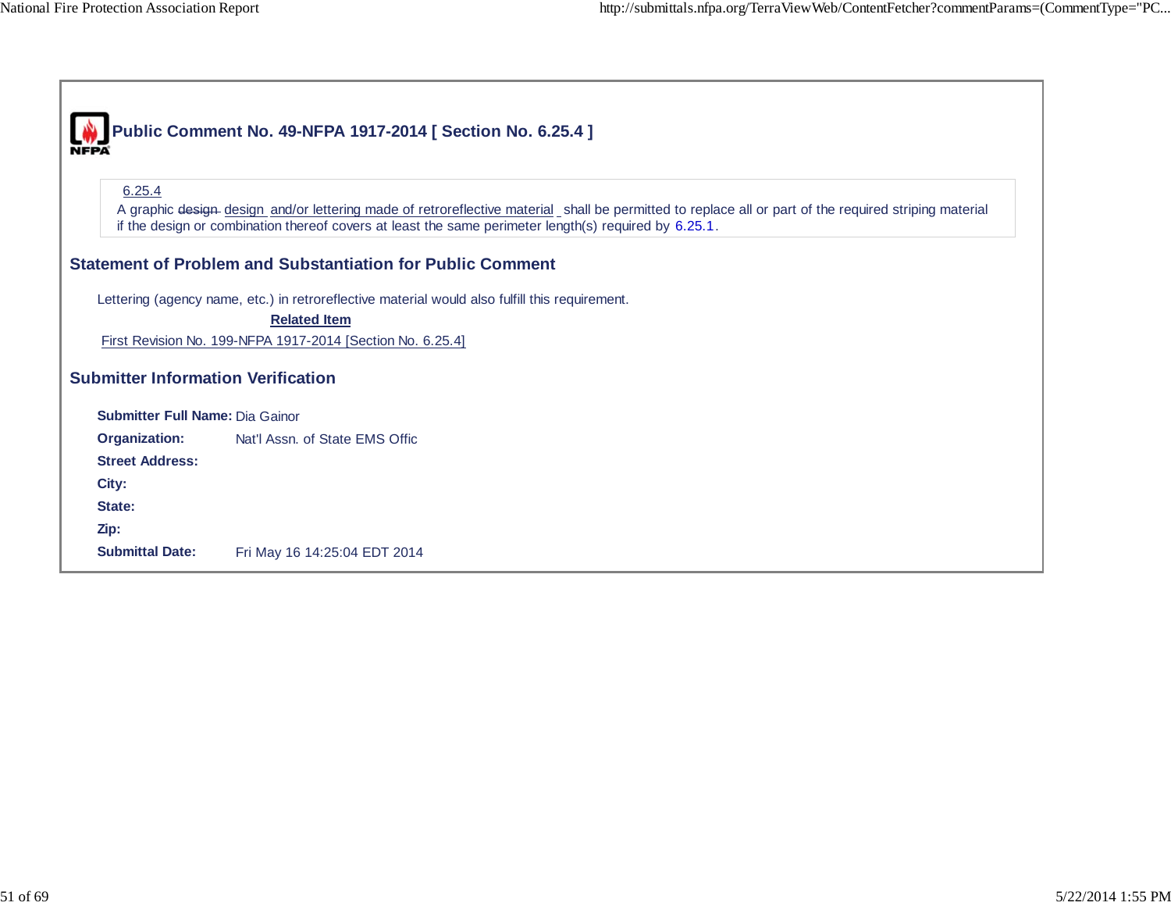$\Gamma$ 

┑

|                                           | Public Comment No. 49-NFPA 1917-2014 [ Section No. 6.25.4 ]                                                                                           |  |  |
|-------------------------------------------|-------------------------------------------------------------------------------------------------------------------------------------------------------|--|--|
|                                           |                                                                                                                                                       |  |  |
|                                           |                                                                                                                                                       |  |  |
| 6.25.4                                    |                                                                                                                                                       |  |  |
|                                           | A graphic design design and/or lettering made of retroreflective material shall be permitted to replace all or part of the required striping material |  |  |
|                                           | if the design or combination thereof covers at least the same perimeter length(s) required by 6.25.1.                                                 |  |  |
|                                           | <b>Statement of Problem and Substantiation for Public Comment</b>                                                                                     |  |  |
|                                           |                                                                                                                                                       |  |  |
|                                           | Lettering (agency name, etc.) in retroreflective material would also fulfill this requirement.                                                        |  |  |
|                                           | <b>Related Item</b>                                                                                                                                   |  |  |
|                                           | First Revision No. 199-NFPA 1917-2014 [Section No. 6.25.4]                                                                                            |  |  |
|                                           |                                                                                                                                                       |  |  |
| <b>Submitter Information Verification</b> |                                                                                                                                                       |  |  |
| <b>Submitter Full Name: Dia Gainor</b>    |                                                                                                                                                       |  |  |
| <b>Organization:</b>                      | Nat'l Assn. of State EMS Offic                                                                                                                        |  |  |
| <b>Street Address:</b>                    |                                                                                                                                                       |  |  |
| City:                                     |                                                                                                                                                       |  |  |
| State:                                    |                                                                                                                                                       |  |  |
| Zip:                                      |                                                                                                                                                       |  |  |
| <b>Submittal Date:</b>                    | Fri May 16 14:25:04 EDT 2014                                                                                                                          |  |  |
|                                           |                                                                                                                                                       |  |  |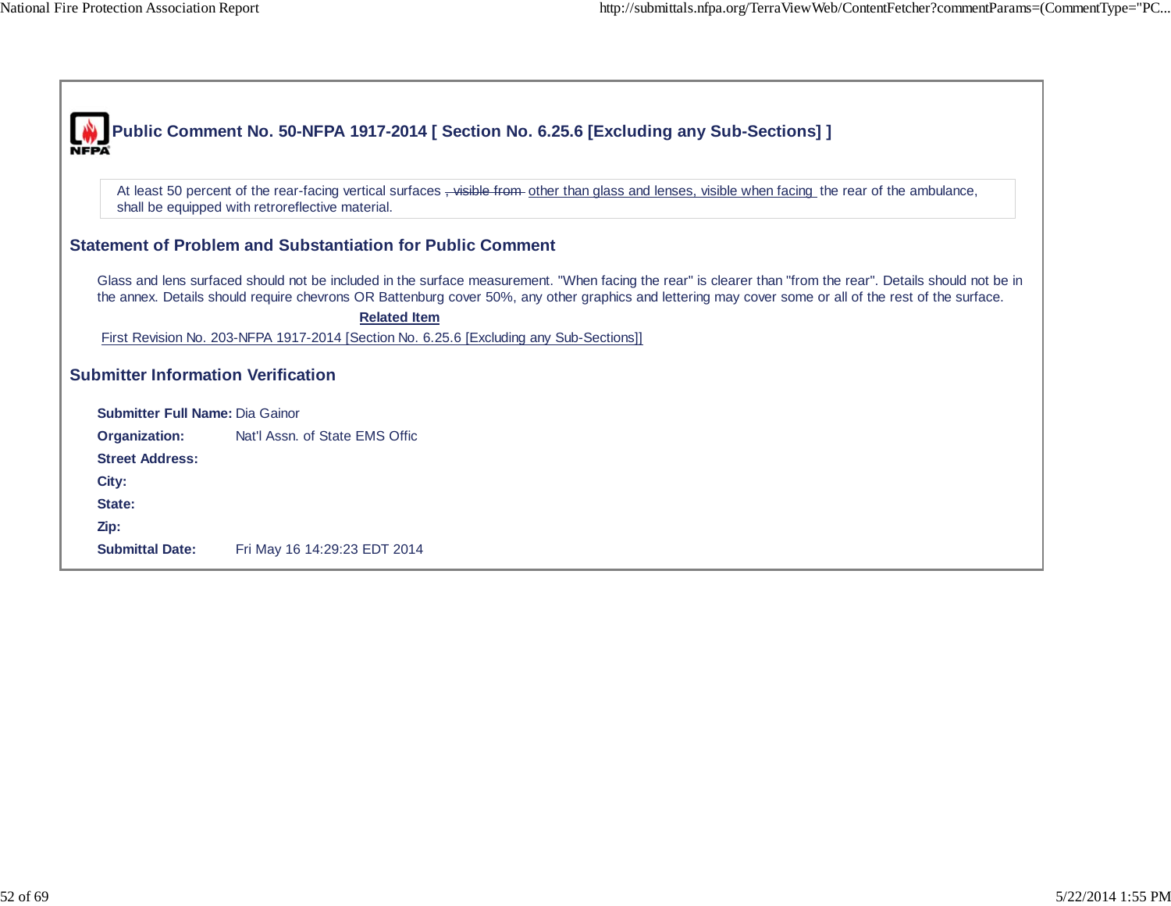|                                           | Public Comment No. 50-NFPA 1917-2014 [ Section No. 6.25.6 [Excluding any Sub-Sections] ]                                                                                                                                                                                                                              |
|-------------------------------------------|-----------------------------------------------------------------------------------------------------------------------------------------------------------------------------------------------------------------------------------------------------------------------------------------------------------------------|
|                                           |                                                                                                                                                                                                                                                                                                                       |
|                                           | At least 50 percent of the rear-facing vertical surfaces, visible from other than glass and lenses, visible when facing the rear of the ambulance,<br>shall be equipped with retroreflective material.                                                                                                                |
|                                           | <b>Statement of Problem and Substantiation for Public Comment</b>                                                                                                                                                                                                                                                     |
|                                           | Glass and lens surfaced should not be included in the surface measurement. "When facing the rear" is clearer than "from the rear". Details should not be in<br>the annex. Details should require chevrons OR Battenburg cover 50%, any other graphics and lettering may cover some or all of the rest of the surface. |
|                                           | <b>Related Item</b>                                                                                                                                                                                                                                                                                                   |
|                                           | First Revision No. 203-NFPA 1917-2014 [Section No. 6.25.6 [Excluding any Sub-Sections]]                                                                                                                                                                                                                               |
| <b>Submitter Information Verification</b> |                                                                                                                                                                                                                                                                                                                       |
| <b>Submitter Full Name: Dia Gainor</b>    |                                                                                                                                                                                                                                                                                                                       |
| <b>Organization:</b>                      | Nat'l Assn. of State EMS Offic                                                                                                                                                                                                                                                                                        |
| <b>Street Address:</b>                    |                                                                                                                                                                                                                                                                                                                       |
| City:                                     |                                                                                                                                                                                                                                                                                                                       |
| State:                                    |                                                                                                                                                                                                                                                                                                                       |
| Zip:                                      |                                                                                                                                                                                                                                                                                                                       |
| <b>Submittal Date:</b>                    | Fri May 16 14:29:23 EDT 2014                                                                                                                                                                                                                                                                                          |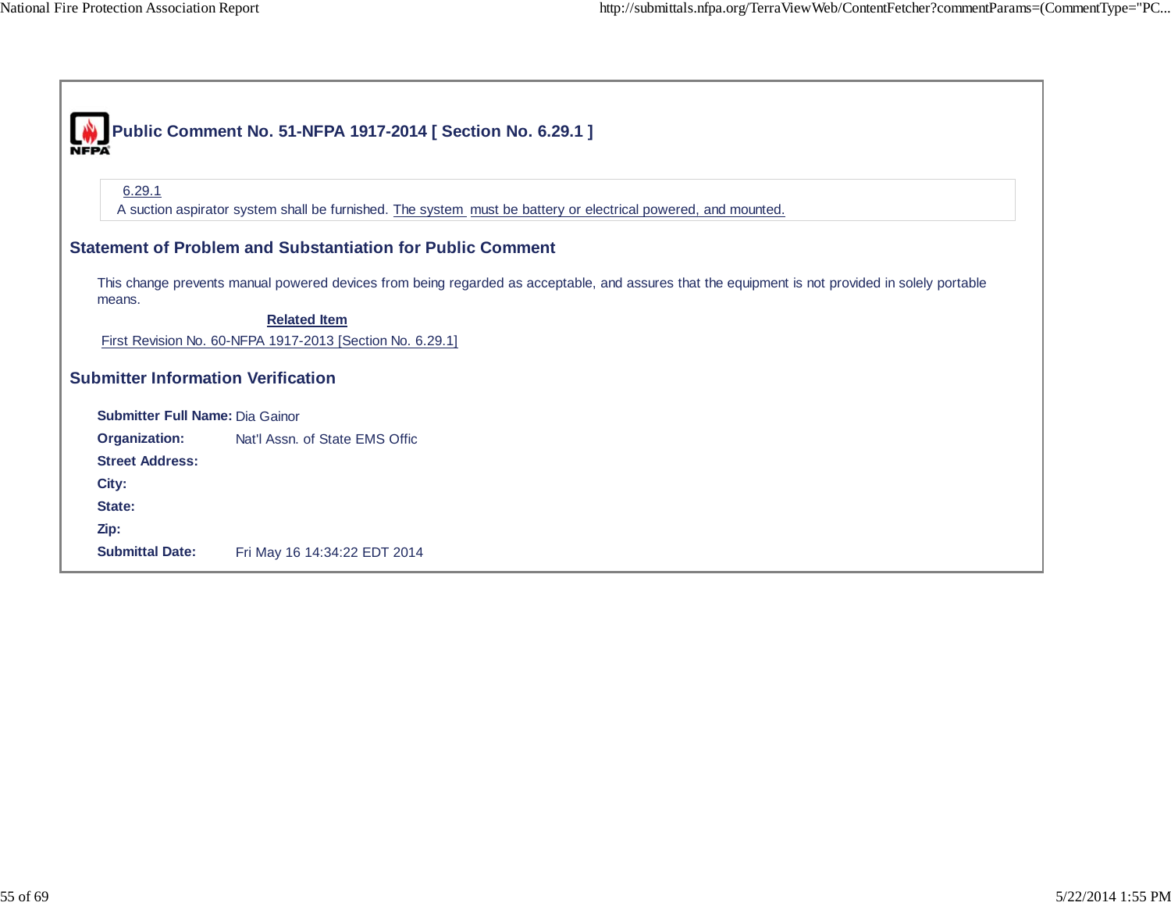|                                           | Public Comment No. 51-NFPA 1917-2014 [ Section No. 6.29.1 ]                                                                                                             |
|-------------------------------------------|-------------------------------------------------------------------------------------------------------------------------------------------------------------------------|
| 6.29.1                                    | A suction aspirator system shall be furnished. The system must be battery or electrical powered, and mounted.                                                           |
|                                           | <b>Statement of Problem and Substantiation for Public Comment</b>                                                                                                       |
| means.                                    | This change prevents manual powered devices from being regarded as acceptable, and assures that the equipment is not provided in solely portable<br><b>Related Item</b> |
|                                           | First Revision No. 60-NFPA 1917-2013 [Section No. 6.29.1]                                                                                                               |
| <b>Submitter Information Verification</b> |                                                                                                                                                                         |
| <b>Submitter Full Name: Dia Gainor</b>    |                                                                                                                                                                         |
| Organization:                             | Nat'l Assn. of State EMS Offic                                                                                                                                          |
| <b>Street Address:</b>                    |                                                                                                                                                                         |
| City:                                     |                                                                                                                                                                         |
| State:                                    |                                                                                                                                                                         |
| Zip:                                      |                                                                                                                                                                         |
| <b>Submittal Date:</b>                    | Fri May 16 14:34:22 EDT 2014                                                                                                                                            |